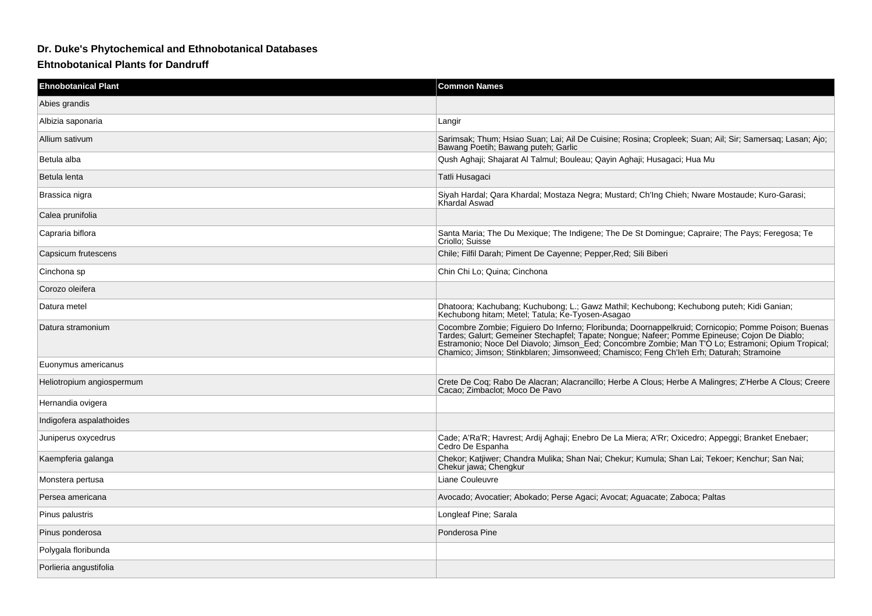## **Dr. Duke's Phytochemical and Ethnobotanical Databases**

**Ehtnobotanical Plants for Dandruff**

| <b>Ehnobotanical Plant</b> | <b>Common Names</b>                                                                                                                                                                                                                                                                                                                                                                                   |
|----------------------------|-------------------------------------------------------------------------------------------------------------------------------------------------------------------------------------------------------------------------------------------------------------------------------------------------------------------------------------------------------------------------------------------------------|
| Abies grandis              |                                                                                                                                                                                                                                                                                                                                                                                                       |
| Albizia saponaria          | Langir                                                                                                                                                                                                                                                                                                                                                                                                |
| Allium sativum             | Sarimsak; Thum; Hsiao Suan; Lai; Ail De Cuisine; Rosina; Cropleek; Suan; Ail; Sir; Samersag; Lasan; Ajo;<br>Bawang Poetih; Bawang puteh; Garlic                                                                                                                                                                                                                                                       |
| Betula alba                | Qush Aghaji; Shajarat Al Talmul; Bouleau; Qayin Aghaji; Husagaci; Hua Mu                                                                                                                                                                                                                                                                                                                              |
| Betula lenta               | Tatli Husagaci                                                                                                                                                                                                                                                                                                                                                                                        |
| Brassica nigra             | Siyah Hardal; Qara Khardal; Mostaza Negra; Mustard; Ch'Ing Chieh; Nware Mostaude; Kuro-Garasi;<br>Khardal Aswad                                                                                                                                                                                                                                                                                       |
| Calea prunifolia           |                                                                                                                                                                                                                                                                                                                                                                                                       |
| Capraria biflora           | Santa Maria; The Du Mexique; The Indigene; The De St Domingue; Capraire; The Pays; Feregosa; Te<br>Criollo: Suisse                                                                                                                                                                                                                                                                                    |
| Capsicum frutescens        | Chile; Filfil Darah; Piment De Cayenne; Pepper, Red; Sili Biberi                                                                                                                                                                                                                                                                                                                                      |
| Cinchona sp                | Chin Chi Lo; Quina; Cinchona                                                                                                                                                                                                                                                                                                                                                                          |
| Corozo oleifera            |                                                                                                                                                                                                                                                                                                                                                                                                       |
| Datura metel               | Dhatoora; Kachubang; Kuchubong; L.; Gawz Mathil; Kechubong; Kechubong puteh; Kidi Ganian;<br>Kechubong hitam; Metel; Tatula; Ke-Tyosen-Asagao                                                                                                                                                                                                                                                         |
| Datura stramonium          | Cocombre Zombie; Figuiero Do Inferno; Floribunda; Doornappelkruid; Cornicopio; Pomme Poison; Buenas<br>Tardes; Galurt; Gemeiner Stechapfel; Tapate; Nongue; Nafeer; Pomme Epineuse; Cojon De Diablo;<br>Estramonio; Noce Del Diavolo; Jimson_Eed; Concombre Zombie; Man T'O Lo; Estramoni; Opium Tropical;<br>Chamico; Jimson; Stinkblaren; Jimsonweed; Chamisco; Feng Ch'leh Erh; Daturah; Stramoine |
| Euonymus americanus        |                                                                                                                                                                                                                                                                                                                                                                                                       |
| Heliotropium angiospermum  | Crete De Coq; Rabo De Alacran; Alacrancillo; Herbe A Clous; Herbe A Malingres; Z'Herbe A Clous; Creere<br>Cacao: Zimbaclot: Moco De Pavo                                                                                                                                                                                                                                                              |
| Hernandia ovigera          |                                                                                                                                                                                                                                                                                                                                                                                                       |
| Indigofera aspalathoides   |                                                                                                                                                                                                                                                                                                                                                                                                       |
| Juniperus oxycedrus        | Cade; A'Ra'R; Havrest; Ardij Aghaji; Enebro De La Miera; A'Rr; Oxicedro; Appeggi; Branket Enebaer;<br>Cedro De Espanha                                                                                                                                                                                                                                                                                |
| Kaempferia galanga         | Chekor; Katjiwer; Chandra Mulika; Shan Nai; Chekur; Kumula; Shan Lai; Tekoer; Kenchur; San Nai;<br>Chekur jawa; Chengkur                                                                                                                                                                                                                                                                              |
| Monstera pertusa           | Liane Couleuvre                                                                                                                                                                                                                                                                                                                                                                                       |
| Persea americana           | Avocado; Avocatier; Abokado; Perse Agaci; Avocat; Aguacate; Zaboca; Paltas                                                                                                                                                                                                                                                                                                                            |
| Pinus palustris            | Longleaf Pine; Sarala                                                                                                                                                                                                                                                                                                                                                                                 |
| Pinus ponderosa            | Ponderosa Pine                                                                                                                                                                                                                                                                                                                                                                                        |
| Polygala floribunda        |                                                                                                                                                                                                                                                                                                                                                                                                       |
| Porlieria angustifolia     |                                                                                                                                                                                                                                                                                                                                                                                                       |